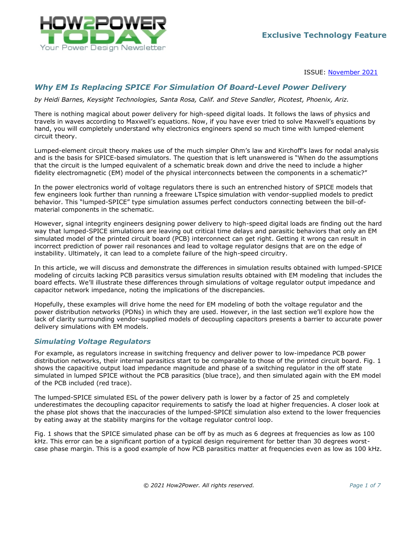

ISSUE: [November](http://www.how2power.com/newsletters/2111/index.html) 2021

# *Why EM Is Replacing SPICE For Simulation Of Board-Level Power Delivery*

*by Heidi Barnes, Keysight Technologies, Santa Rosa, Calif. and Steve Sandler, Picotest, Phoenix, Ariz.*

There is nothing magical about power delivery for high-speed digital loads. It follows the laws of physics and travels in waves according to Maxwell's equations. Now, if you have ever tried to solve Maxwell's equations by hand, you will completely understand why electronics engineers spend so much time with lumped-element circuit theory.

Lumped-element circuit theory makes use of the much simpler Ohm's law and Kirchoff's laws for nodal analysis and is the basis for SPICE-based simulators. The question that is left unanswered is "When do the assumptions that the circuit is the lumped equivalent of a schematic break down and drive the need to include a higher fidelity electromagnetic (EM) model of the physical interconnects between the components in a schematic?"

In the power electronics world of voltage regulators there is such an entrenched history of SPICE models that few engineers look further than running a freeware LTspice simulation with vendor-supplied models to predict behavior. This "lumped-SPICE" type simulation assumes perfect conductors connecting between the bill-ofmaterial components in the schematic.

However, signal integrity engineers designing power delivery to high-speed digital loads are finding out the hard way that lumped-SPICE simulations are leaving out critical time delays and parasitic behaviors that only an EM simulated model of the printed circuit board (PCB) interconnect can get right. Getting it wrong can result in incorrect prediction of power rail resonances and lead to voltage regulator designs that are on the edge of instability. Ultimately, it can lead to a complete failure of the high-speed circuitry.

In this article, we will discuss and demonstrate the differences in simulation results obtained with lumped-SPICE modeling of circuits lacking PCB parasitics versus simulation results obtained with EM modeling that includes the board effects. We'll illustrate these differences through simulations of voltage regulator output impedance and capacitor network impedance, noting the implications of the discrepancies.

Hopefully, these examples will drive home the need for EM modeling of both the voltage regulator and the power distribution networks (PDNs) in which they are used. However, in the last section we'll explore how the lack of clarity surrounding vendor-supplied models of decoupling capacitors presents a barrier to accurate power delivery simulations with EM models.

#### *Simulating Voltage Regulators*

For example, as regulators increase in switching frequency and deliver power to low-impedance PCB power distribution networks, their internal parasitics start to be comparable to those of the printed circuit board. [Fig. 1](#page-1-0) shows the capacitive output load impedance magnitude and phase of a switching regulator in the off state simulated in lumped SPICE without the PCB parasitics (blue trace), and then simulated again with the EM model of the PCB included (red trace).

The lumped-SPICE simulated ESL of the power delivery path is lower by a factor of 25 and completely underestimates the decoupling capacitor requirements to satisfy the load at higher frequencies. A closer look at the phase plot shows that the inaccuracies of the lumped-SPICE simulation also extend to the lower frequencies by eating away at the stability margins for the voltage regulator control loop.

[Fig. 1](#page-1-0) shows that the SPICE simulated phase can be off by as much as 6 degrees at frequencies as low as 100 kHz. This error can be a significant portion of a typical design requirement for better than 30 degrees worstcase phase margin. This is a good example of how PCB parasitics matter at frequencies even as low as 100 kHz.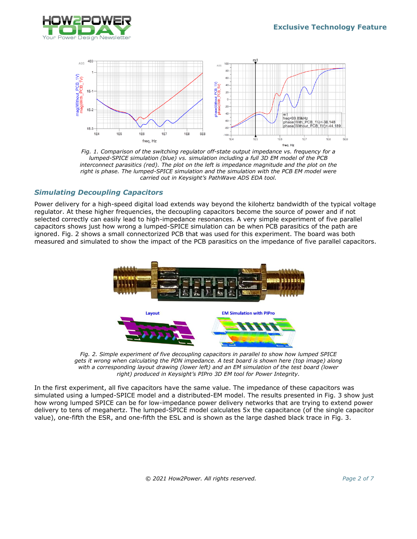



*Fig. 1. Comparison of the switching regulator off-state output impedance vs. frequency for a lumped-SPICE simulation (blue) vs. simulation including a full 3D EM model of the PCB interconnect parasitics (red). The plot on the left is impedance magnitude and the plot on the right is phase. The lumped-SPICE simulation and the simulation with the PCB EM model were carried out in Keysight's PathWave ADS EDA tool.*

# <span id="page-1-0"></span>*Simulating Decoupling Capacitors*

Power delivery for a high-speed digital load extends way beyond the kilohertz bandwidth of the typical voltage regulator. At these higher frequencies, the decoupling capacitors become the source of power and if not selected correctly can easily lead to high-impedance resonances. A very simple experiment of five parallel capacitors shows just how wrong a lumped-SPICE simulation can be when PCB parasitics of the path are ignored. [Fig. 2](#page-1-1) shows a small connectorized PCB that was used for this experiment. The board was both measured and simulated to show the impact of the PCB parasitics on the impedance of five parallel capacitors.



*Fig. 2. Simple experiment of five decoupling capacitors in parallel to show how lumped SPICE gets it wrong when calculating the PDN impedance. A test board is shown here (top image) along with a corresponding layout drawing (lower left) and an EM simulation of the test board (lower right) produced in Keysight's PIPro 3D EM tool for Power Integrity.*

<span id="page-1-1"></span>In the first experiment, all five capacitors have the same value. The impedance of these capacitors was simulated using a lumped-SPICE model and a distributed-EM model. The results presented in Fig. 3 show just how wrong lumped SPICE can be for low-impedance power delivery networks that are trying to extend power delivery to tens of megahertz. The lumped-SPICE model calculates 5x the capacitance (of the single capacitor value), one-fifth the ESR, and one-fifth the ESL and is shown as the large dashed black trace in [Fig.](#page-2-0) 3.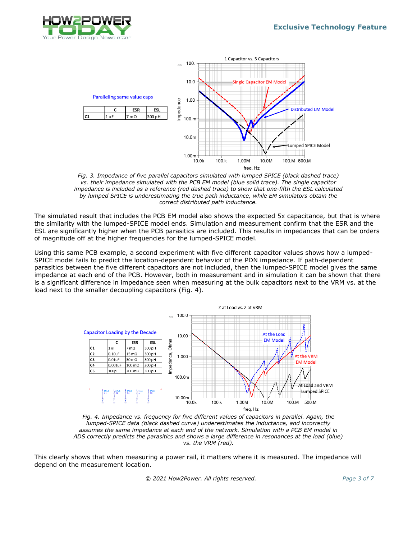



*Fig. 3. Impedance of five parallel capacitors simulated with lumped SPICE (black dashed trace) vs. their impedance simulated with the PCB EM model (blue solid trace). The single capacitor impedance is included as a reference (red dashed trace) to show that one-fifth the ESL calculated by lumped SPICE is underestimating the true path inductance, while EM simulators obtain the correct distributed path inductance.*

<span id="page-2-0"></span>The simulated result that includes the PCB EM model also shows the expected 5x capacitance, but that is where the similarity with the lumped-SPICE model ends. Simulation and measurement confirm that the ESR and the ESL are significantly higher when the PCB parasitics are included. This results in impedances that can be orders of magnitude off at the higher frequencies for the lumped-SPICE model.

Using this same PCB example, a second experiment with five different capacitor values shows how a lumped-SPICE model fails to predict the location-dependent behavior of the PDN impedance. If path-dependent parasitics between the five different capacitors are not included, then the lumped-SPICE model gives the same impedance at each end of the PCB. However, both in measurement and in simulation it can be shown that there is a significant difference in impedance seen when measuring at the bulk capacitors next to the VRM vs. at the load next to the smaller decoupling capacitors [\(Fig.](#page-2-1) 4).



<span id="page-2-1"></span>*Fig. 4. Impedance vs. frequency for five different values of capacitors in parallel. Again, the lumped-SPICE data (black dashed curve) underestimates the inductance, and incorrectly assumes the same impedance at each end of the network. Simulation with a PCB EM model in ADS correctly predicts the parasitics and shows a large difference in resonances at the load (blue) vs. the VRM (red).*

This clearly shows that when measuring a power rail, it matters where it is measured. The impedance will depend on the measurement location.

 *© 2021 How2Power. All rights reserved. Page 3 of 7*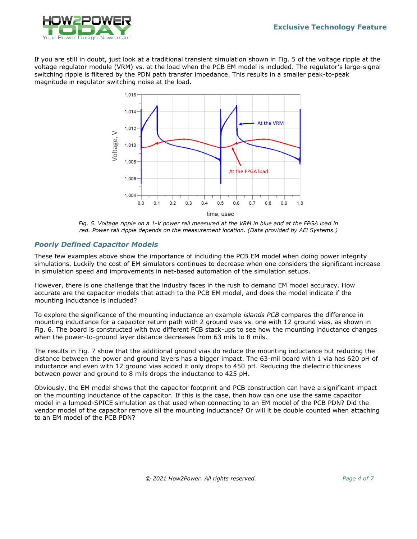

If you are still in doubt, just look at a traditional transient simulation shown in [Fig.](#page-3-0) 5 of the voltage ripple at the voltage regulator module (VRM) vs. at the load when the PCB EM model is included. The regulator's large-signal switching ripple is filtered by the PDN path transfer impedance. This results in a smaller peak-to-peak magnitude in regulator switching noise at the load.



*Fig. 5. Voltage ripple on a 1-V power rail measured at the VRM in blue and at the FPGA load in red. Power rail ripple depends on the measurement location. (Data provided by AEi Systems.)*

### <span id="page-3-0"></span>*Poorly Defined Capacitor Models*

These few examples above show the importance of including the PCB EM model when doing power integrity simulations. Luckily the cost of EM simulators continues to decrease when one considers the significant increase in simulation speed and improvements in net-based automation of the simulation setups.

However, there is one challenge that the industry faces in the rush to demand EM model accuracy. How accurate are the capacitor models that attach to the PCB EM model, and does the model indicate if the mounting inductance is included?

To explore the significance of the mounting inductance an example *islands PCB* compares the difference in mounting inductance for a capacitor return path with 2 ground vias vs. one with 12 ground vias, as shown in [Fig. 6.](#page-4-0) The board is constructed with two different PCB stack-ups to see how the mounting inductance changes when the power-to-ground layer distance decreases from 63 mils to 8 mils.

The results in [Fig. 7](#page-4-1) show that the additional ground vias do reduce the mounting inductance but reducing the distance between the power and ground layers has a bigger impact. The 63-mil board with 1 via has 620 pH of inductance and even with 12 ground vias added it only drops to 450 pH. Reducing the dielectric thickness between power and ground to 8 mils drops the inductance to 425 pH.

Obviously, the EM model shows that the capacitor footprint and PCB construction can have a significant impact on the mounting inductance of the capacitor. If this is the case, then how can one use the same capacitor model in a lumped-SPICE simulation as that used when connecting to an EM model of the PCB PDN? Did the vendor model of the capacitor remove all the mounting inductance? Or will it be double counted when attaching to an EM model of the PCB PDN?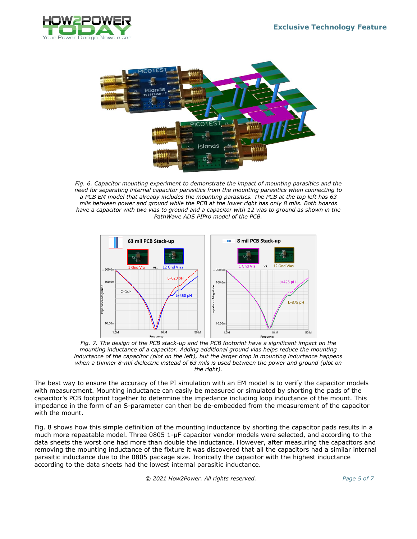



<span id="page-4-0"></span>*Fig. 6. Capacitor mounting experiment to demonstrate the impact of mounting parasitics and the need for separating internal capacitor parasitics from the mounting parasitics when connecting to a PCB EM model that already includes the mounting parasitics. The PCB at the top left has 63 mils between power and ground while the PCB at the lower right has only 8 mils. Both boards have a capacitor with two vias to ground and a capacitor with 12 vias to ground as shown in the PathWave ADS PIPro model of the PCB.*



<span id="page-4-1"></span>*Fig. 7. The design of the PCB stack-up and the PCB footprint have a significant impact on the mounting inductance of a capacitor. Adding additional ground vias helps reduce the mounting inductance of the capacitor (plot on the left), but the larger drop in mounting inductance happens when a thinner 8-mil dielectric instead of 63 mils is used between the power and ground (plot on the right).*

The best way to ensure the accuracy of the PI simulation with an EM model is to verify the capacitor models with measurement. Mounting inductance can easily be measured or simulated by shorting the pads of the capacitor's PCB footprint together to determine the impedance including loop inductance of the mount. This impedance in the form of an S-parameter can then be de-embedded from the measurement of the capacitor with the mount.

[Fig.](#page-5-0) 8 shows how this simple definition of the mounting inductance by shorting the capacitor pads results in a much more repeatable model. Three 0805 1-µF capacitor vendor models were selected, and according to the data sheets the worst one had more than double the inductance. However, after measuring the capacitors and removing the mounting inductance of the fixture it was discovered that all the capacitors had a similar internal parasitic inductance due to the 0805 package size. Ironically the capacitor with the highest inductance according to the data sheets had the lowest internal parasitic inductance.

 *© 2021 How2Power. All rights reserved. Page 5 of 7*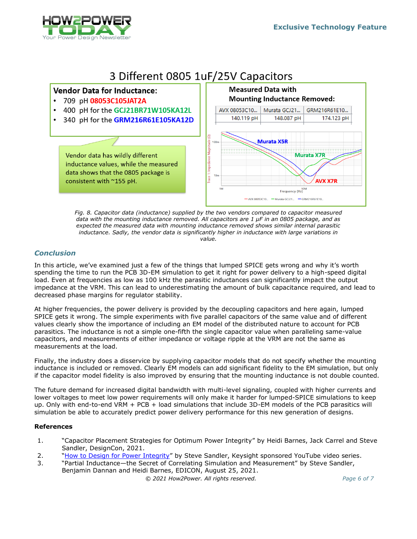

# 3 Different 0805 1uF/25V Capacitors



*Fig. 8. Capacitor data (inductance) supplied by the two vendors compared to capacitor measured data with the mounting inductance removed. All capacitors are 1 µF in an 0805 package, and as expected the measured data with mounting inductance removed shows similar internal parasitic inductance. Sadly, the vendor data is significantly higher in inductance with large variations in value.*

# <span id="page-5-0"></span>*Conclusion*

 $\bullet$ 

In this article, we've examined just a few of the things that lumped SPICE gets wrong and why it's worth spending the time to run the PCB 3D-EM simulation to get it right for power delivery to a high-speed digital load. Even at frequencies as low as 100 kHz the parasitic inductances can significantly impact the output impedance at the VRM. This can lead to underestimating the amount of bulk capacitance required, and lead to decreased phase margins for regulator stability.

At higher frequencies, the power delivery is provided by the decoupling capacitors and here again, lumped SPICE gets it wrong. The simple experiments with five parallel capacitors of the same value and of different values clearly show the importance of including an EM model of the distributed nature to account for PCB parasitics. The inductance is not a simple one-fifth the single capacitor value when paralleling same-value capacitors, and measurements of either impedance or voltage ripple at the VRM are not the same as measurements at the load.

Finally, the industry does a disservice by supplying capacitor models that do not specify whether the mounting inductance is included or removed. Clearly EM models can add significant fidelity to the EM simulation, but only if the capacitor model fidelity is also improved by ensuring that the mounting inductance is not double counted.

The future demand for increased digital bandwidth with multi-level signaling, coupled with higher currents and lower voltages to meet low power requirements will only make it harder for lumped-SPICE simulations to keep up. Only with end-to-end VRM + PCB + load simulations that include 3D-EM models of the PCB parasitics will simulation be able to accurately predict power delivery performance for this new generation of designs.

### **References**

- 1. "Capacitor Placement Strategies for Optimum Power Integrity" by Heidi Barnes, Jack Carrel and Steve Sandler, DesignCon, 2021.
- 2. "[How to Design for Power Integrity](http://www.keysight.com/find/how-to-videos-for-pi)" by Steve Sandler, Keysight sponsored YouTube video series.
- 3. "Partial Inductance—the Secret of Correlating Simulation and Measurement" by Steve Sandler, Benjamin Dannan and Heidi Barnes, EDICON, August 25, 2021.

 *© 2021 How2Power. All rights reserved. Page 6 of 7*